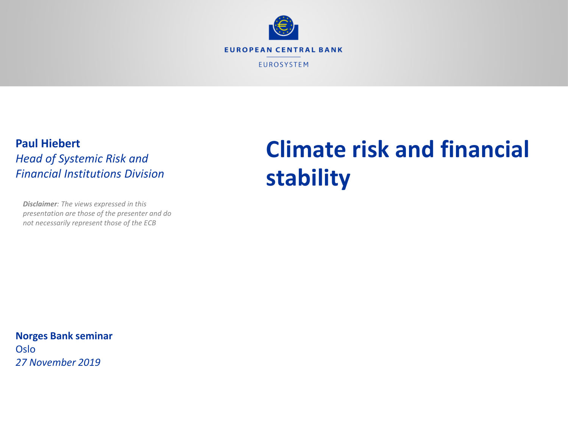

#### **Paul Hiebert** *Head of Systemic Risk and Financial Institutions Division*

*Disclaimer: The views expressed in this presentation are those of the presenter and do not necessarily represent those of the ECB*

# **Climate risk and financial stability**

**Norges Bank seminar** Oslo *27 November 2019*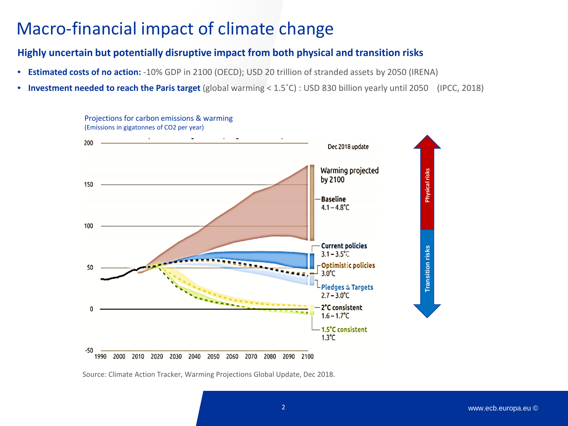### Macro-financial impact of climate change

#### **Highly uncertain but potentially disruptive impact from both physical and transition risks**

- **Estimated costs of no action:** -10% GDP in 2100 (OECD); USD 20 trillion of stranded assets by 2050 (IRENA)
- **Investment needed to reach the Paris target** (global warming < 1.5˚C) : USD 830 billion yearly until 2050 (IPCC, 2018)



Projections for carbon emissions & warming (Emissions in gigatonnes of CO2 per year)

Source: Climate Action Tracker, Warming Projections Global Update, Dec 2018.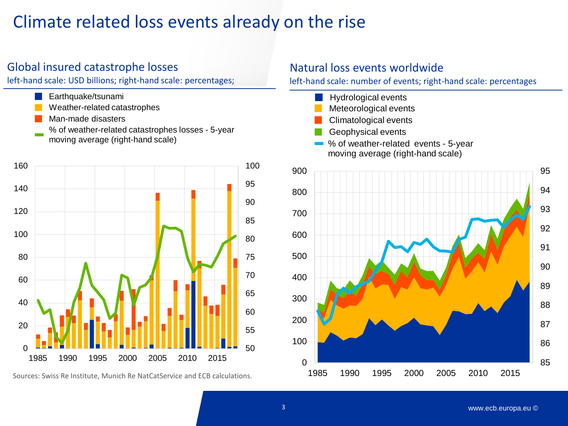### Climate related loss events already on the rise

#### Global insured catastrophe losses

left-hand scale: USD billions; right-hand scale: percentages;

- Earthquake/tsunami
- Weather-related catastrophes
- Man-made disasters
- % of weather-related catastrophes losses 5-year moving average (right-hand scale)



Sources: Swiss Re Institute, Munich Re NatCatService and ECB calculations.

#### Natural loss events worldwide

left-hand scale: number of events; right-hand scale: percentages

- Hydrological events Meteorological events Climatological events Geophysical events
- % of weather-related events 5-year moving average (right-hand scale)

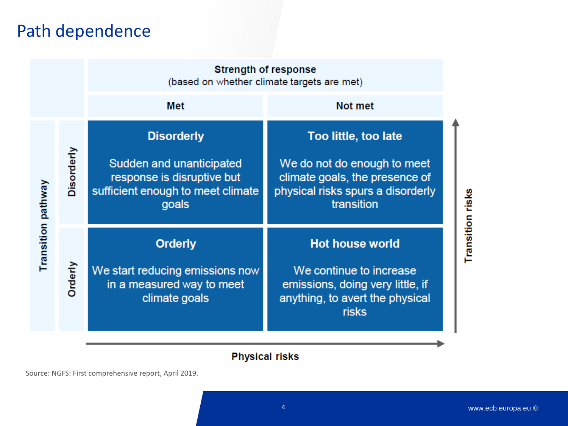### Path dependence

|                    |            | <b>Strength of response</b><br>(based on whether climate targets are met)                                                 |                                                                                                                                          |                  |
|--------------------|------------|---------------------------------------------------------------------------------------------------------------------------|------------------------------------------------------------------------------------------------------------------------------------------|------------------|
|                    |            | Met                                                                                                                       | Not met                                                                                                                                  |                  |
| Transition pathway | Disorderly | <b>Disorderly</b><br>Sudden and unanticipated<br>response is disruptive but<br>sufficient enough to meet climate<br>goals | Too little, too late<br>We do not do enough to meet<br>climate goals, the presence of<br>physical risks spurs a disorderly<br>transition | Transition risks |
|                    | Orderly    | <b>Orderly</b><br>We start reducing emissions now<br>in a measured way to meet<br>climate goals                           | <b>Hot house world</b><br>We continue to increase<br>emissions, doing very little, if<br>anything, to avert the physical<br>risks        |                  |

#### **Physical risks**

Source: NGFS: First comprehensive report, April 2019.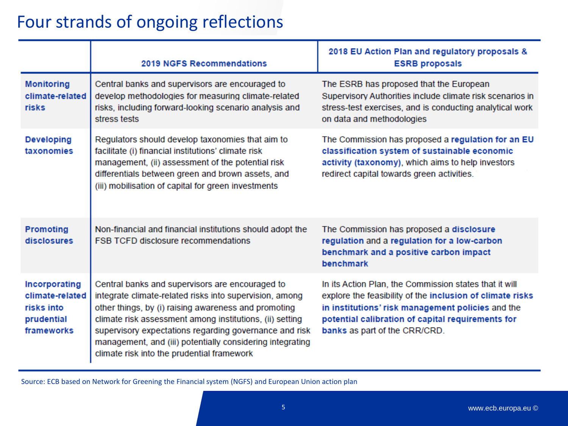### Four strands of ongoing reflections

|                                                                            | <b>2019 NGFS Recommendations</b>                                                                                                                                                                                                                                                                                                                                                                    | 2018 EU Action Plan and regulatory proposals &<br><b>ESRB proposals</b>                                                                                                                                                                                        |
|----------------------------------------------------------------------------|-----------------------------------------------------------------------------------------------------------------------------------------------------------------------------------------------------------------------------------------------------------------------------------------------------------------------------------------------------------------------------------------------------|----------------------------------------------------------------------------------------------------------------------------------------------------------------------------------------------------------------------------------------------------------------|
| <b>Monitoring</b><br>climate-related<br>risks                              | Central banks and supervisors are encouraged to<br>develop methodologies for measuring climate-related<br>risks, including forward-looking scenario analysis and<br>stress tests                                                                                                                                                                                                                    | The ESRB has proposed that the European<br>Supervisory Authorities include climate risk scenarios in<br>stress-test exercises, and is conducting analytical work<br>on data and methodologies                                                                  |
| <b>Developing</b><br>taxonomies                                            | Regulators should develop taxonomies that aim to<br>facilitate (i) financial institutions' climate risk<br>management, (ii) assessment of the potential risk<br>differentials between green and brown assets, and<br>(iii) mobilisation of capital for green investments                                                                                                                            | The Commission has proposed a regulation for an EU<br>classification system of sustainable economic<br>activity (taxonomy), which aims to help investors<br>redirect capital towards green activities.                                                         |
| <b>Promoting</b><br>disclosures                                            | Non-financial and financial institutions should adopt the<br><b>FSB TCFD disclosure recommendations</b>                                                                                                                                                                                                                                                                                             | The Commission has proposed a disclosure<br>regulation and a regulation for a low-carbon<br>benchmark and a positive carbon impact<br>benchmark                                                                                                                |
| Incorporating<br>climate-related<br>risks into<br>prudential<br>frameworks | Central banks and supervisors are encouraged to<br>integrate climate-related risks into supervision, among<br>other things, by (i) raising awareness and promoting<br>climate risk assessment among institutions, (ii) setting<br>supervisory expectations regarding governance and risk<br>management, and (iii) potentially considering integrating<br>climate risk into the prudential framework | In its Action Plan, the Commission states that it will<br>explore the feasibility of the inclusion of climate risks<br>in institutions' risk management policies and the<br>potential calibration of capital requirements for<br>banks as part of the CRR/CRD. |

Source: ECB based on Network for Greening the Financial system (NGFS) and European Union action plan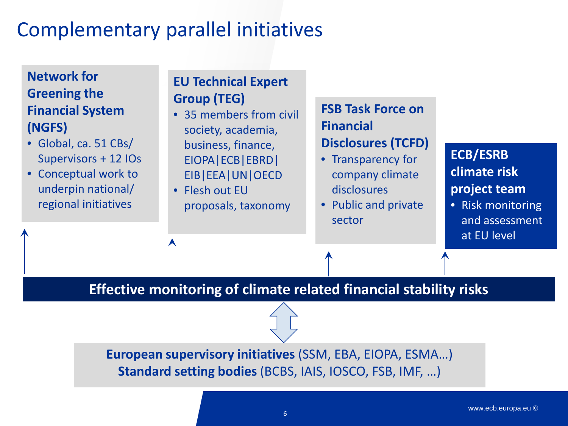## Complementary parallel initiatives

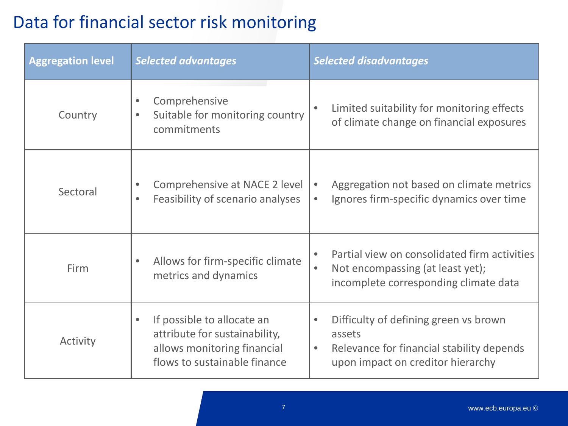### Data for financial sector risk monitoring

| <b>Aggregation level</b> | <b>Selected advantages</b>                                                                                                              | <b>Selected disadvantages</b>                                                                                                                               |
|--------------------------|-----------------------------------------------------------------------------------------------------------------------------------------|-------------------------------------------------------------------------------------------------------------------------------------------------------------|
| Country                  | Comprehensive<br>$\bullet$<br>Suitable for monitoring country<br>$\bullet$<br>commitments                                               | Limited suitability for monitoring effects<br>$\bullet$<br>of climate change on financial exposures                                                         |
| Sectoral                 | Comprehensive at NACE 2 level<br>Feasibility of scenario analyses<br>$\bullet$                                                          | Aggregation not based on climate metrics<br>$\bullet$<br>Ignores firm-specific dynamics over time<br>$\bullet$                                              |
| Firm                     | Allows for firm-specific climate<br>$\bullet$<br>metrics and dynamics                                                                   | Partial view on consolidated firm activities<br>$\bullet$<br>Not encompassing (at least yet);<br>$\bullet$<br>incomplete corresponding climate data         |
| Activity                 | If possible to allocate an<br>$\bullet$<br>attribute for sustainability,<br>allows monitoring financial<br>flows to sustainable finance | Difficulty of defining green vs brown<br>$\bullet$<br>assets<br>Relevance for financial stability depends<br>$\bullet$<br>upon impact on creditor hierarchy |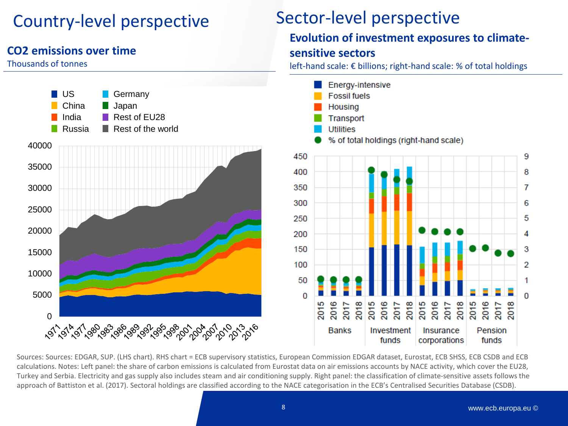### Country-level perspective

#### **CO2 emissions over time**

#### Thousands of tonnes



Sources: Sources: EDGAR, SUP. (LHS chart). RHS chart = ECB supervisory statistics, European Commission EDGAR dataset, Eurostat, ECB SHSS, ECB CSDB and ECB calculations. Notes: Left panel: the share of carbon emissions is calculated from Eurostat data on air emissions accounts by NACE activity, which cover the EU28, Turkey and Serbia. Electricity and gas supply also includes steam and air conditioning supply. Right panel: the classification of climate-sensitive assets follows the approach of Battiston et al. (2017). Sectoral holdings are classified according to the NACE categorisation in the ECB's Centralised Securities Database (CSDB).

9

8

7

6

5

4

3

2

1

0

**Evolution of investment exposures to climate-**

left-hand scale: € billions; right-hand scale: % of total holdings

**sensitive sectors**

Sector-level perspective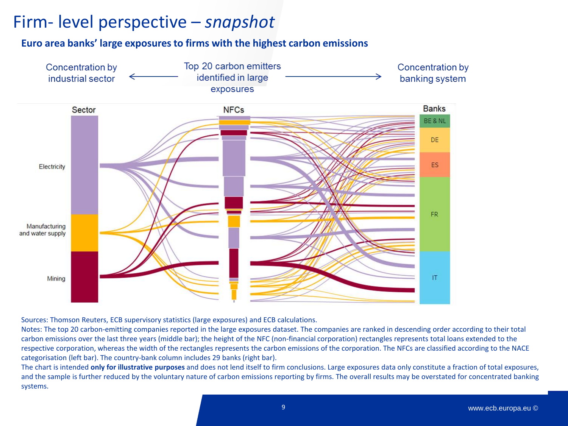### Firm- level perspective – *snapshot*

#### **Euro area banks' large exposures to firms with the highest carbon emissions**



Sources: Thomson Reuters, ECB supervisory statistics (large exposures) and ECB calculations.

Notes: The top 20 carbon-emitting companies reported in the large exposures dataset. The companies are ranked in descending order according to their total carbon emissions over the last three years (middle bar); the height of the NFC (non-financial corporation) rectangles represents total loans extended to the respective corporation, whereas the width of the rectangles represents the carbon emissions of the corporation. The NFCs are classified according to the NACE categorisation (left bar). The country-bank column includes 29 banks (right bar).

The chart is intended **only for illustrative purposes** and does not lend itself to firm conclusions. Large exposures data only constitute a fraction of total exposures, and the sample is further reduced by the voluntary nature of carbon emissions reporting by firms. The overall results may be overstated for concentrated banking systems.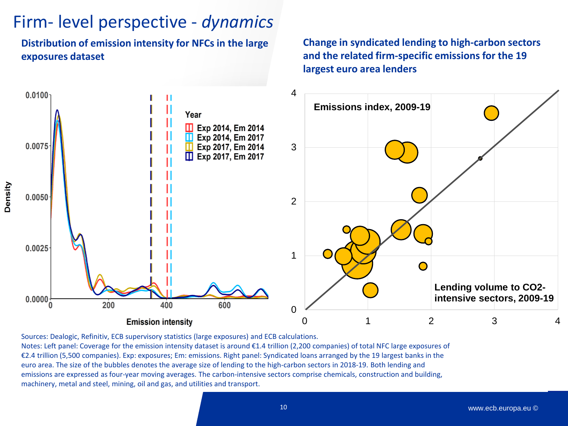### Firm- level perspective - *dynamics*

**Distribution of emission intensity for NFCs in the large exposures dataset**

Density

**Change in syndicated lending to high-carbon sectors and the related firm-specific emissions for the 19 largest euro area lenders**



Sources: Dealogic, Refinitiv, ECB supervisory statistics (large exposures) and ECB calculations. Notes: Left panel: Coverage for the emission intensity dataset is around €1.4 trillion (2,200 companies) of total NFC large exposures of €2.4 trillion (5,500 companies). Exp: exposures; Em: emissions. Right panel: Syndicated loans arranged by the 19 largest banks in the euro area. The size of the bubbles denotes the average size of lending to the high-carbon sectors in 2018-19. Both lending and emissions are expressed as four-year moving averages. The carbon-intensive sectors comprise chemicals, construction and building, machinery, metal and steel, mining, oil and gas, and utilities and transport.

10 www.ecb.europa.eu ©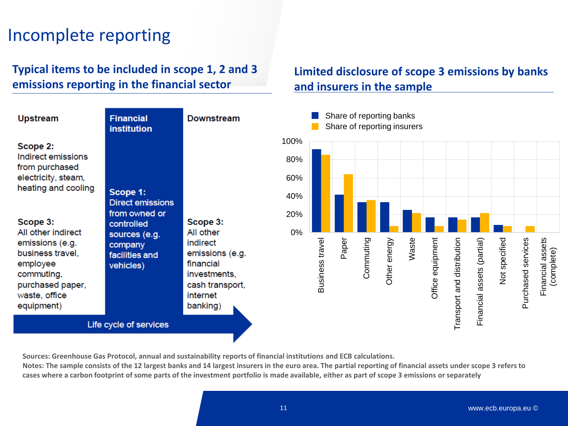### Incomplete reporting

#### **Typical items to be included in scope 1, 2 and 3 emissions reporting in the financial sector**

#### Share of reporting banks **Upstream Financial Downstream** Share of reporting insurers**institution** 100% Scope 2: Indirect emissions 80% from purchased electricity, steam, 60% heating and cooling Scope 1: 40% **Direct emissions** from owned or 20% Scope 3: Scope 3: controlled All other indirect All other 0% sources (e.g. Paper Waste Commuting Office equipment Purchased services Business travel Business travel Commuting Other energy Other energy Office equipment Transport and distribution Transport and distribution Financial assets (partial) Not specified Not specified Purchased services Financial assets Financial assets emissions (e.g. indirect Financial assets (partial) company (complete) business travel. emissions (e.g. facilities and employee financial vehicles) commuting, investments. purchased paper. cash transport. waste, office internet equipment) banking) Life cycle of services

**Sources: Greenhouse Gas Protocol, annual and sustainability reports of financial institutions and ECB calculations.**

**Notes: The sample consists of the 12 largest banks and 14 largest insurers in the euro area. The partial reporting of financial assets under scope 3 refers to cases where a carbon footprint of some parts of the investment portfolio is made available, either as part of scope 3 emissions or separately**

**Limited disclosure of scope 3 emissions by banks**

**and insurers in the sample**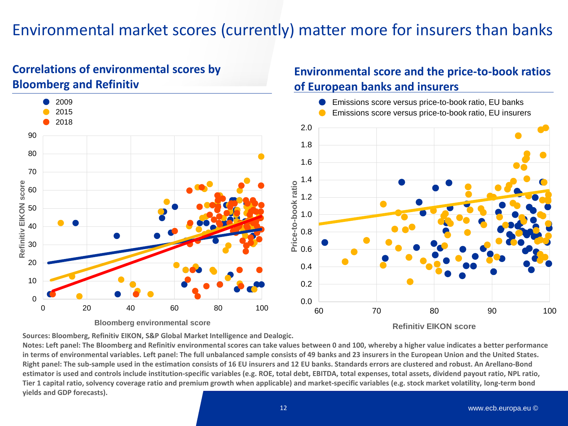### Environmental market scores (currently) matter more for insurers than banks

#### **Correlations of environmental scores by Bloomberg and Refinitiv**



**Refinitiv EIKON score**

**Environmental score and the price-to-book ratios** 

**of European banks and insurers**

**Sources: Bloomberg, Refinitiv EIKON, S&P Global Market Intelligence and Dealogic.**

**Notes: Left panel: The Bloomberg and Refinitiv environmental scores can take values between 0 and 100, whereby a higher value indicates a better performance in terms of environmental variables. Left panel: The full unbalanced sample consists of 49 banks and 23 insurers in the European Union and the United States. Right panel: The sub-sample used in the estimation consists of 16 EU insurers and 12 EU banks. Standards errors are clustered and robust. An Arellano-Bond estimator is used and controls include institution-specific variables (e.g. ROE, total debt, EBITDA, total expenses, total assets, dividend payout ratio, NPL ratio, Tier 1 capital ratio, solvency coverage ratio and premium growth when applicable) and market-specific variables (e.g. stock market volatility, long-term bond yields and GDP forecasts).**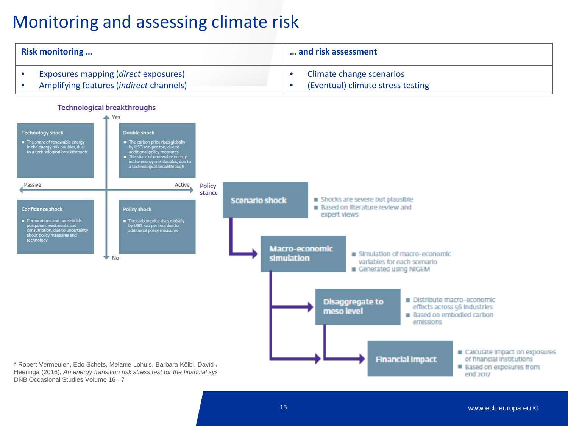### Monitoring and assessing climate risk

| <b>Risk monitoring</b>                                                                  | and risk assessment                                           |  |
|-----------------------------------------------------------------------------------------|---------------------------------------------------------------|--|
| Exposures mapping ( <i>direct</i> exposures)<br>Amplifying features (indirect channels) | Climate change scenarios<br>(Eventual) climate stress testing |  |



DNB Occasional Studies Volume 16 - 7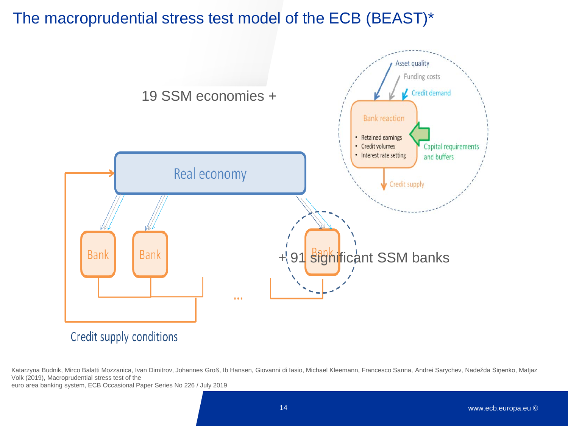#### The macroprudential stress test model of the ECB (BEAST)\*



Katarzyna Budnik, Mirco Balatti Mozzanica, Ivan Dimitrov, Johannes Groß, Ib Hansen, Giovanni di Iasio, Michael Kleemann, Francesco Sanna, Andrei Sarychev, Nadežda Siņenko, Matjaz Volk (2019), Macroprudential stress test of the

euro area banking system, ECB Occasional Paper Series No 226 / July 2019